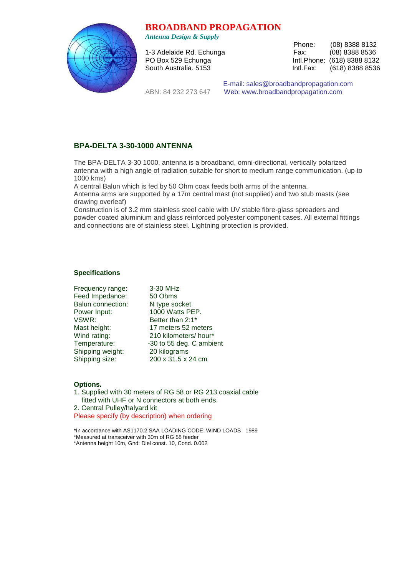## **BROADBAND PROPAGATION**



*Antenna Design & Supply* 

 Phone: (08) 8388 8132 1-3 Adelaide Rd. Echunga Fax: (08) 8388 8536 PO Box 529 Echunga **Intl.Phone:** (618) 8388 8132 South Australia. 5153 **Intl.Fax:** (618) 8388 8536

 E-mail: sales@broadbandpropagation.com ABN: 84 232 273 647 Web: www.broadbandpropagation.com

## **BPA-DELTA 3-30-1000 ANTENNA**

The BPA-DELTA 3-30 1000, antenna is a broadband, omni-directional, vertically polarized antenna with a high angle of radiation suitable for short to medium range communication. (up to 1000 kms)

A central Balun which is fed by 50 Ohm coax feeds both arms of the antenna.

Antenna arms are supported by a 17m central mast (not supplied) and two stub masts (see drawing overleaf)

Construction is of 3.2 mm stainless steel cable with UV stable fibre-glass spreaders and powder coated aluminium and glass reinforced polyester component cases. All external fittings and connections are of stainless steel. Lightning protection is provided.

## **Specifications**

| Frequency range:  | 3-30 MHz                 |
|-------------------|--------------------------|
| Feed Impedance:   | 50 Ohms                  |
| Balun connection: | N type socket            |
| Power Input:      | 1000 Watts PEP.          |
| VSWR:             | Better than 2:1*         |
| Mast height:      | 17 meters 52 meters      |
| Wind rating:      | 210 kilometers/hour*     |
| Temperature:      | -30 to 55 deg. C ambient |
| Shipping weight:  | 20 kilograms             |
| Shipping size:    | 200 x 31.5 x 24 cm       |

## **Options.**

1. Supplied with 30 meters of RG 58 or RG 213 coaxial cable fitted with UHF or N connectors at both ends. 2. Central Pulley/halyard kit Please specify (by description) when ordering

\*In accordance with AS1170.2 SAA LOADING CODE; WIND LOADS 1989 \*Measured at transceiver with 30m of RG 58 feeder \*Antenna height 10m, Gnd: Diel const. 10, Cond. 0.002